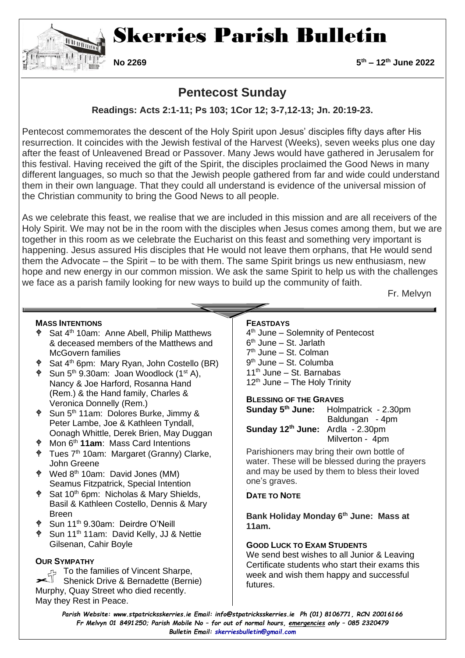

# Skerries Parish Bulletin

**No 2269 5th – 12th June 2022**

## **Pentecost Sunday**

### **Readings: Acts 2:1-11; Ps 103; 1Cor 12; 3-7,12-13; Jn. 20:19-23.**

Pentecost commemorates the descent of the Holy Spirit upon Jesus' disciples fifty days after His resurrection. It coincides with the Jewish festival of the Harvest (Weeks), seven weeks plus one day after the feast of Unleavened Bread or Passover. Many Jews would have gathered in Jerusalem for this festival. Having received the gift of the Spirit, the disciples proclaimed the Good News in many different languages, so much so that the Jewish people gathered from far and wide could understand them in their own language. That they could all understand is evidence of the universal mission of the Christian community to bring the Good News to all people.

As we celebrate this feast, we realise that we are included in this mission and are all receivers of the Holy Spirit. We may not be in the room with the disciples when Jesus comes among them, but we are together in this room as we celebrate the Eucharist on this feast and something very important is happening. Jesus assured His disciples that He would not leave them orphans, that He would send them the Advocate – the Spirit – to be with them. The same Spirit brings us new enthusiasm, new hope and new energy in our common mission. We ask the same Spirit to help us with the challenges we face as a parish family looking for new ways to build up the community of faith.

Fr. Melvyn

#### **MASS INTENTIONS**

- $\phi$  Sat 4<sup>th</sup> 10am: Anne Abell, Philip Matthews & deceased members of the Matthews and McGovern families
- Sat 4th 6pm: Mary Ryan, John Costello (BR)
- $\phi$  Sun 5<sup>th</sup> 9.30am: Joan Woodlock (1<sup>st</sup> A), Nancy & Joe Harford, Rosanna Hand (Rem.) & the Hand family, Charles & Veronica Donnelly (Rem.)
- $\phi$  Sun 5<sup>th</sup> 11am: Dolores Burke, Jimmy & Peter Lambe, Joe & Kathleen Tyndall, Oonagh Whittle, Derek Brien, May Duggan
- Mon 6th **11am**: Mass Card Intentions
- $\angle$  Tues 7<sup>th</sup> 10am: Margaret (Granny) Clarke, John Greene
- Wed 8th 10am: David Jones (MM) Seamus Fitzpatrick, Special Intention
- <sup> $\phi$ </sup> Sat 10<sup>th</sup> 6pm: Nicholas & Mary Shields, Basil & Kathleen Costello, Dennis & Mary Breen
- Sun 11th 9.30am: Deirdre O'Neill
- Sun 11th 11am: David Kelly, JJ & Nettie Gilsenan, Cahir Boyle

#### **OUR SYMPATHY**

To the families of Vincent Sharpe, Shenick Drive & Bernadette (Bernie) Murphy, Quay Street who died recently. May they Rest in Peace.

#### **FEASTDAYS**

4<sup>th</sup> June – Solemnity of Pentecost 6 th June – St. Jarlath 7 th June – St. Colman 9<sup>th</sup> June – St. Columba  $11<sup>th</sup>$  June – St. Barnabas  $12<sup>th</sup>$  June – The Holy Trinity

#### **BLESSING OF THE GRAVES**

|                                              | <b>Sunday 5<sup>th</sup> June:</b> Holmpatrick - 2.30pm |
|----------------------------------------------|---------------------------------------------------------|
|                                              | Baldungan - 4pm                                         |
| Sunday 12 <sup>th</sup> June: Ardla - 2.30pm |                                                         |
|                                              | Milverton - 4pm                                         |

Parishioners may bring their own bottle of water. These will be blessed during the prayers and may be used by them to bless their loved one's graves.

#### **DATE TO NOTE**

**Bank Holiday Monday 6th June: Mass at 11am.** 

#### **GOOD LUCK TO EXAM STUDENTS**

We send best wishes to all Junior & Leaving Certificate students who start their exams this week and wish them happy and successful futures.

*Parish Website: www[.stpatricksskerries.ie](mailto:stpatricksskerries.ie) Email: [info@stpatricksskerries.ie](mailto:info@stpatricksskerries.ie) Ph (01) 8106771, RCN 20016166 Fr Melvyn 01 8491250; Parish Mobile No – for out of normal hours, emergencies only – 085 2320479 Bulletin Email: [skerriesbulletin@gmail.com](mailto:skerriesbulletin@gmail.com)*